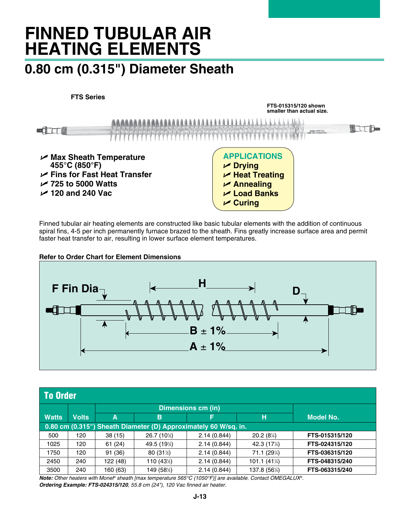# **FINNED TUBULAR AIR HEATING ELEMENTS**

## **0.80 cm (0.315") Diameter Sheath**

**FTS Series**





Finned tubular air heating elements are constructed like basic tubular elements with the addition of continuous spiral fins, 4-5 per inch permanently furnace brazed to the sheath. Fins greatly increase surface area and permit faster heat transfer to air, resulting in lower surface element temperatures.

**Refer to Order Chart for Element Dimensions**



| <b>To Order</b>                                                 |              |                           |              |             |                |                  |  |
|-----------------------------------------------------------------|--------------|---------------------------|--------------|-------------|----------------|------------------|--|
|                                                                 |              | <b>Dimensions cm (in)</b> |              |             |                |                  |  |
| <b>Watts</b>                                                    | <b>Volts</b> | A                         | B            | F           | н              | <b>Model No.</b> |  |
| 0.80 cm (0.315") Sheath Diameter (D) Approximately 60 W/sq. in. |              |                           |              |             |                |                  |  |
| 500                                                             | 120          | 38(15)                    | 26.7 (10½)   | 2.14(0.844) | $20.2(8\%)$    | FTS-015315/120   |  |
| 1025                                                            | 120          | 61(24)                    | 49.5 (19½)   | 2.14(0.844) | 42.3 (17%)     | FTS-024315/120   |  |
| 1750                                                            | 120          | 91 (36)                   | $80(31\%)$   | 2.14(0.844) | 71.1 (29¼)     | FTS-036315/120   |  |
| 2450                                                            | 240          | 122 (48)                  | 110 $(43\%)$ | 2.14(0.844) | 101.1 $(41\%)$ | FTS-048315/240   |  |
| 3500                                                            | 240          | 160 (63)                  | 149 (58½)    | 2.14(0.844) | 137.8 (5614)   | FTS-063315/240   |  |

*Note: Other heaters with Monel® sheath [max temperature 565°C (1050°F)] are available. Contact OMEGALUX®. Ordering Example: FTS-024315/120, 55.8 cm (24"), 120 Vac finned air heater.*